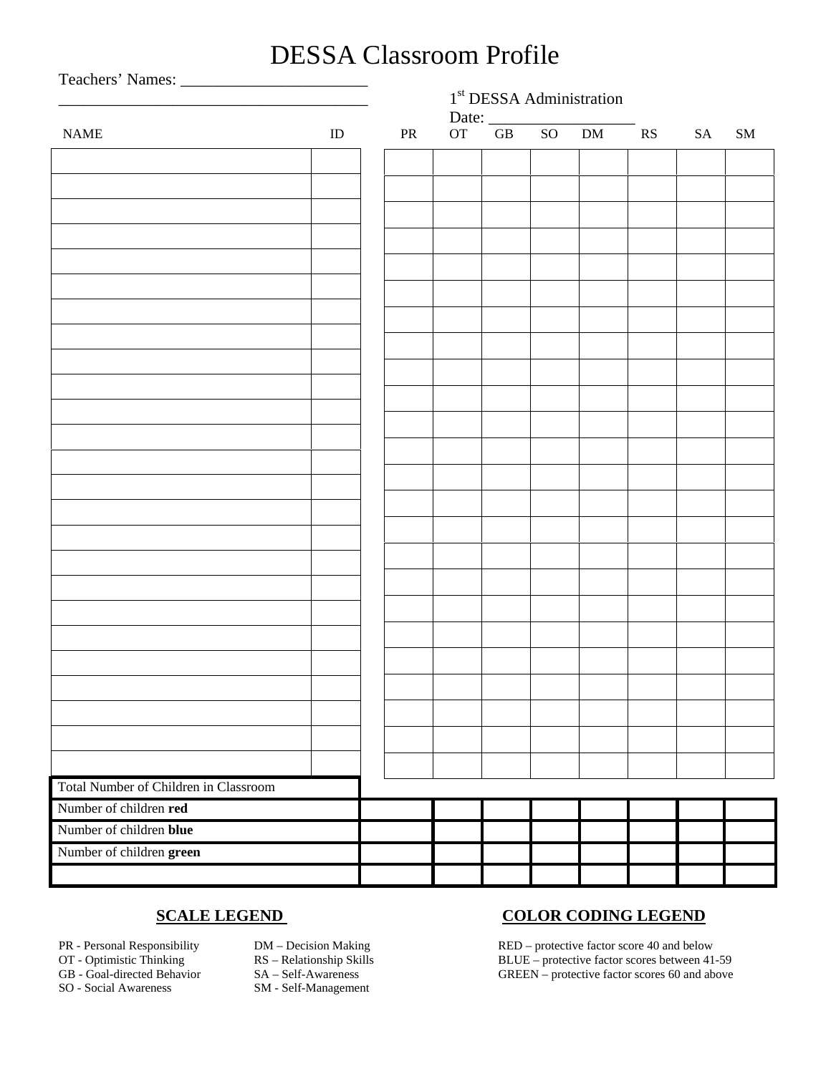# DESSA Classroom Profile

Teachers' Names: \_\_\_\_\_\_\_\_\_\_\_\_\_\_\_\_\_\_\_\_\_\_\_ 1<sup>st</sup> DESSA Administration Date: \_\_\_\_\_\_\_\_\_\_\_\_\_\_\_\_\_\_ NAME ID PR OT GB SO DM RS SA SM Total Number of Children in Classroom Number of children **red** Number of children **blue** Number of children **green**

- 
- 
- 
- 

- 
- SO Social Awareness SM Self-Management

## **SCALE LEGEND COLOR CODING LEGEND**

PR - Personal Responsibility DM – Decision Making RED – protective factor score 40 and below OT - Optimistic Thinking RS – Relationship Skills BLUE – protective factor scores between 41-59 GB - Goal-directed Behavior SA – Self-Awareness GREEN – protective factor scores 60 and above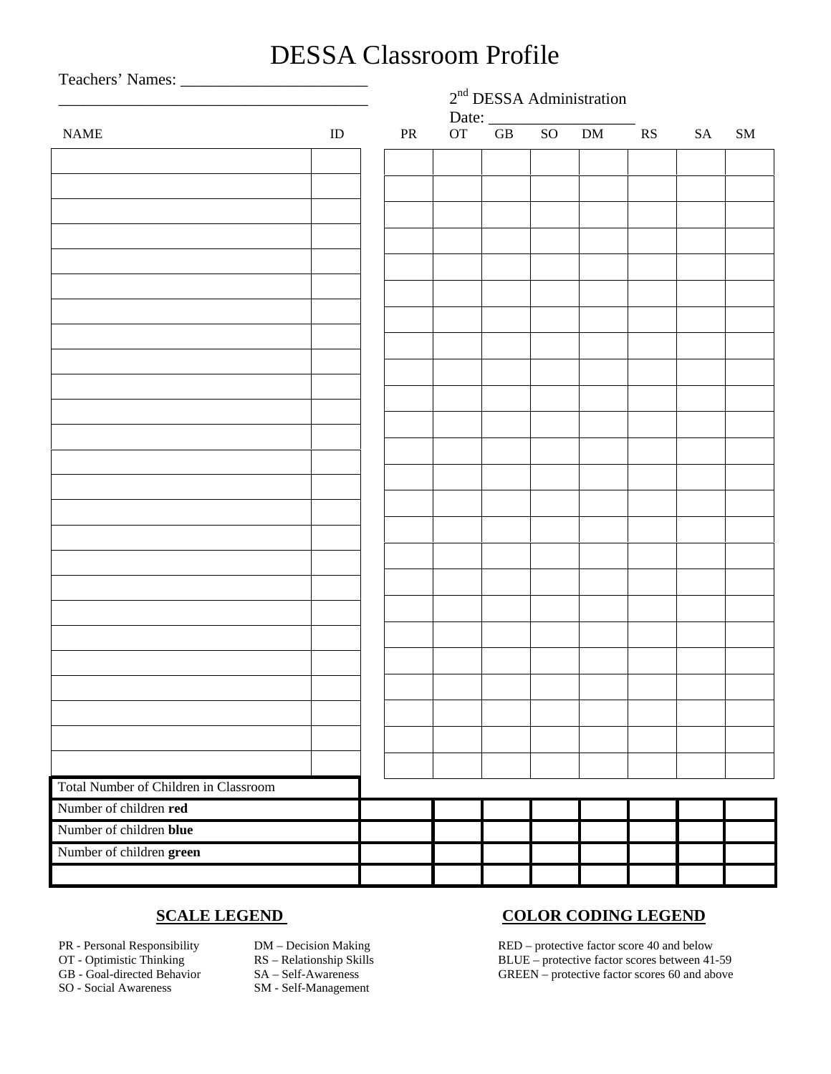# DESSA Classroom Profile

|                                       |          | $2nd DESSA Administration$<br>Date: $\frac{1}{\text{OF}}$ GB SO DM RS |            |  |  |  |  |  |    |    |
|---------------------------------------|----------|-----------------------------------------------------------------------|------------|--|--|--|--|--|----|----|
| <b>NAME</b>                           | $\rm ID$ |                                                                       | ${\rm PR}$ |  |  |  |  |  | SA | SM |
|                                       |          |                                                                       |            |  |  |  |  |  |    |    |
|                                       |          |                                                                       |            |  |  |  |  |  |    |    |
|                                       |          |                                                                       |            |  |  |  |  |  |    |    |
|                                       |          |                                                                       |            |  |  |  |  |  |    |    |
|                                       |          |                                                                       |            |  |  |  |  |  |    |    |
|                                       |          |                                                                       |            |  |  |  |  |  |    |    |
|                                       |          |                                                                       |            |  |  |  |  |  |    |    |
|                                       |          |                                                                       |            |  |  |  |  |  |    |    |
|                                       |          |                                                                       |            |  |  |  |  |  |    |    |
|                                       |          |                                                                       |            |  |  |  |  |  |    |    |
|                                       |          |                                                                       |            |  |  |  |  |  |    |    |
|                                       |          |                                                                       |            |  |  |  |  |  |    |    |
|                                       |          |                                                                       |            |  |  |  |  |  |    |    |
|                                       |          |                                                                       |            |  |  |  |  |  |    |    |
|                                       |          |                                                                       |            |  |  |  |  |  |    |    |
|                                       |          |                                                                       |            |  |  |  |  |  |    |    |
|                                       |          |                                                                       |            |  |  |  |  |  |    |    |
|                                       |          |                                                                       |            |  |  |  |  |  |    |    |
|                                       |          |                                                                       |            |  |  |  |  |  |    |    |
|                                       |          |                                                                       |            |  |  |  |  |  |    |    |
|                                       |          |                                                                       |            |  |  |  |  |  |    |    |
|                                       |          |                                                                       |            |  |  |  |  |  |    |    |
|                                       |          |                                                                       |            |  |  |  |  |  |    |    |
|                                       |          |                                                                       |            |  |  |  |  |  |    |    |
|                                       |          |                                                                       |            |  |  |  |  |  |    |    |
| Total Number of Children in Classroom |          |                                                                       |            |  |  |  |  |  |    |    |
| Number of children red                |          |                                                                       |            |  |  |  |  |  |    |    |
| Number of children blue               |          |                                                                       |            |  |  |  |  |  |    |    |
| Number of children green              |          |                                                                       |            |  |  |  |  |  |    |    |
|                                       |          |                                                                       |            |  |  |  |  |  |    |    |

- 
- 
- 
- 

- 
- SO Social Awareness SM Self-Management

## **SCALE LEGEND COLOR CODING LEGEND**

PR - Personal Responsibility DM – Decision Making RED – protective factor score 40 and below OT - Optimistic Thinking RS – Relationship Skills BLUE – protective factor scores between 41-59 GB - Goal-directed Behavior SA – Self-Awareness GREEN – protective factor scores 60 and above